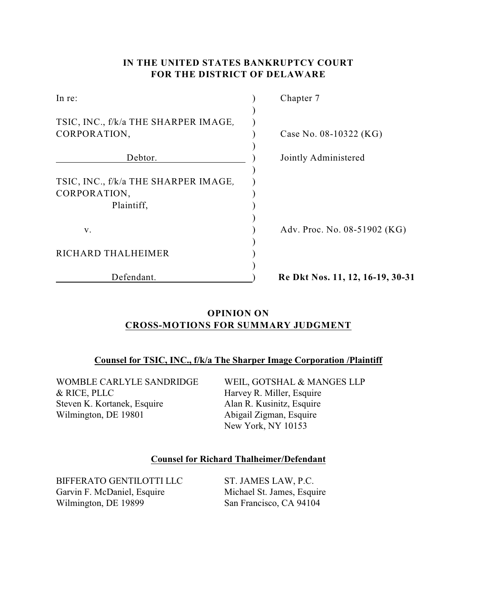# **IN THE UNITED STATES BANKRUPTCY COURT FOR THE DISTRICT OF DELAWARE**

| In re:                               | Chapter 7                        |
|--------------------------------------|----------------------------------|
|                                      |                                  |
| TSIC, INC., f/k/a THE SHARPER IMAGE, |                                  |
| CORPORATION,                         | Case No. 08-10322 (KG)           |
|                                      |                                  |
| Debtor.                              | Jointly Administered             |
|                                      |                                  |
| TSIC, INC., f/k/a THE SHARPER IMAGE, |                                  |
| CORPORATION,                         |                                  |
| Plaintiff,                           |                                  |
|                                      |                                  |
| V.                                   | Adv. Proc. No. 08-51902 (KG)     |
|                                      |                                  |
| RICHARD THALHEIMER                   |                                  |
|                                      |                                  |
| Defendant.                           | Re Dkt Nos. 11, 12, 16-19, 30-31 |

# **OPINION ON CROSS-MOTIONS FOR SUMMARY JUDGMENT**

### **Counsel for TSIC, INC., f/k/a The Sharper Image Corporation /Plaintiff**

WOMBLE CARLYLE SANDRIDGE & RICE, PLLC Steven K. Kortanek, Esquire Wilmington, DE 19801

WEIL, GOTSHAL & MANGES LLP Harvey R. Miller, Esquire Alan R. Kusinitz, Esquire Abigail Zigman, Esquire New York, NY 10153

### **Counsel for Richard Thalheimer/Defendant**

BIFFERATO GENTILOTTI LLC Garvin F. McDaniel, Esquire Wilmington, DE 19899

ST. JAMES LAW, P.C. Michael St. James, Esquire San Francisco, CA 94104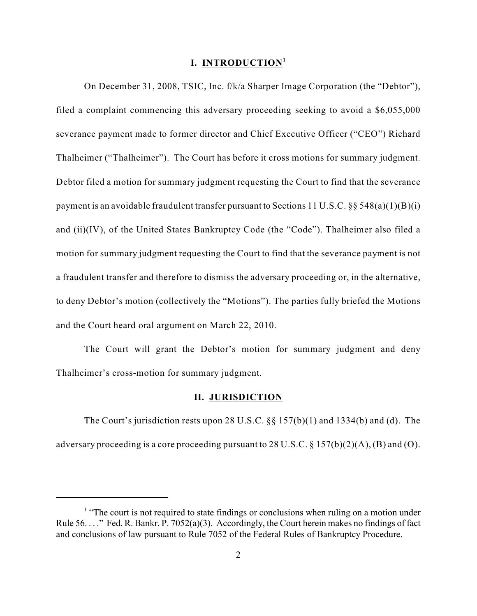#### **I. INTRODUCTION<sup>1</sup>**

On December 31, 2008, TSIC, Inc. f/k/a Sharper Image Corporation (the "Debtor"), filed a complaint commencing this adversary proceeding seeking to avoid a \$6,055,000 severance payment made to former director and Chief Executive Officer ("CEO") Richard Thalheimer ("Thalheimer"). The Court has before it cross motions for summary judgment. Debtor filed a motion for summary judgment requesting the Court to find that the severance payment is an avoidable fraudulent transfer pursuant to Sections 11 U.S.C.  $\S$ § 548(a)(1)(B)(i) and (ii)(IV), of the United States Bankruptcy Code (the "Code"). Thalheimer also filed a motion for summary judgment requesting the Court to find that the severance payment is not a fraudulent transfer and therefore to dismiss the adversary proceeding or, in the alternative, to deny Debtor's motion (collectively the "Motions"). The parties fully briefed the Motions and the Court heard oral argument on March 22, 2010.

The Court will grant the Debtor's motion for summary judgment and deny Thalheimer's cross-motion for summary judgment.

#### **II. JURISDICTION**

The Court's jurisdiction rests upon 28 U.S.C. §§ 157(b)(1) and 1334(b) and (d). The adversary proceeding is a core proceeding pursuant to 28 U.S.C.  $\S 157(b)(2)(A)$ , (B) and (O).

 $<sup>1</sup>$  "The court is not required to state findings or conclusions when ruling on a motion under</sup> Rule 56. . . ." Fed. R. Bankr. P. 7052(a)(3). Accordingly, the Court herein makes no findings of fact and conclusions of law pursuant to Rule 7052 of the Federal Rules of Bankruptcy Procedure.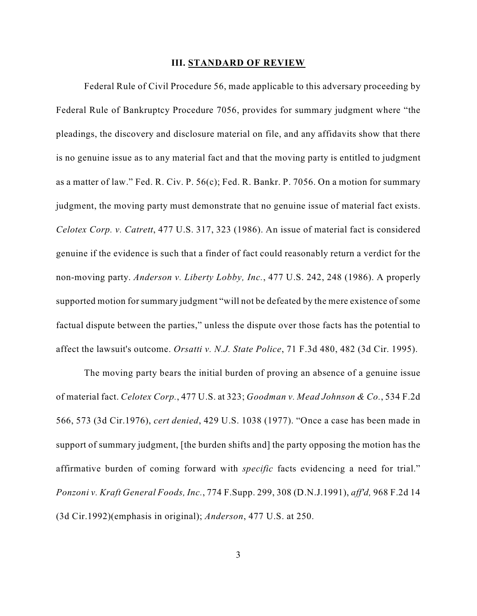#### **III. STANDARD OF REVIEW**

Federal Rule of Civil Procedure 56, made applicable to this adversary proceeding by Federal Rule of Bankruptcy Procedure 7056, provides for summary judgment where "the pleadings, the discovery and disclosure material on file, and any affidavits show that there is no genuine issue as to any material fact and that the moving party is entitled to judgment as a matter of law." Fed. R. Civ. P. 56(c); Fed. R. Bankr. P. 7056. On a motion for summary judgment, the moving party must demonstrate that no genuine issue of material fact exists. *Celotex Corp. v. Catrett*, 477 U.S. 317, 323 (1986). An issue of material fact is considered genuine if the evidence is such that a finder of fact could reasonably return a verdict for the non-moving party. *Anderson v. Liberty Lobby, Inc.*, 477 U.S. 242, 248 (1986). A properly supported motion for summary judgment "will not be defeated by the mere existence of some factual dispute between the parties," unless the dispute over those facts has the potential to affect the lawsuit's outcome. *Orsatti v. N.J. State Police*, 71 F.3d 480, 482 (3d Cir. 1995).

The moving party bears the initial burden of proving an absence of a genuine issue of material fact. *Celotex Corp.*, 477 U.S. at 323; *Goodman v. Mead Johnson & Co.*, 534 F.2d 566, 573 (3d Cir.1976), *cert denied*, 429 U.S. 1038 (1977). "Once a case has been made in support of summary judgment, [the burden shifts and] the party opposing the motion has the affirmative burden of coming forward with *specific* facts evidencing a need for trial." *Ponzoni v. Kraft General Foods, Inc.*, 774 F.Supp. 299, 308 (D.N.J.1991), *aff'd,* 968 F.2d 14 (3d Cir.1992)(emphasis in original); *Anderson*, 477 U.S. at 250.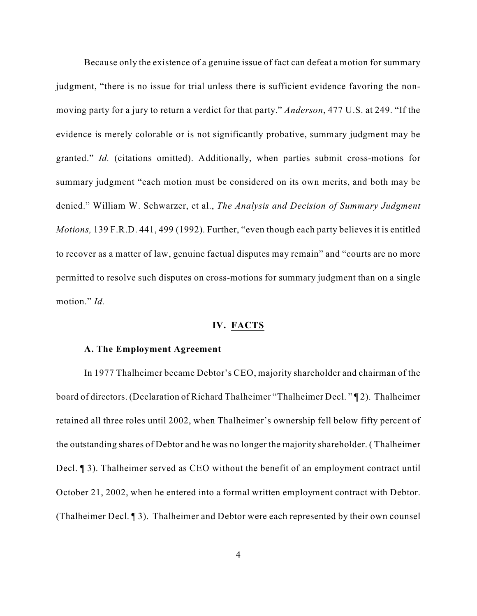Because only the existence of a genuine issue of fact can defeat a motion for summary judgment, "there is no issue for trial unless there is sufficient evidence favoring the nonmoving party for a jury to return a verdict for that party." *Anderson*, 477 U.S. at 249. "If the evidence is merely colorable or is not significantly probative, summary judgment may be granted." *Id.* (citations omitted). Additionally, when parties submit cross-motions for summary judgment "each motion must be considered on its own merits, and both may be denied." William W. Schwarzer, et al., *The Analysis and Decision of Summary Judgment Motions,* 139 F.R.D. 441, 499 (1992). Further, "even though each party believes it is entitled to recover as a matter of law, genuine factual disputes may remain" and "courts are no more permitted to resolve such disputes on cross-motions for summary judgment than on a single motion." *Id.*

### **IV. FACTS**

#### **A. The Employment Agreement**

In 1977 Thalheimer became Debtor's CEO, majority shareholder and chairman of the board of directors. (Declaration of Richard Thalheimer "Thalheimer Decl. " ¶ 2). Thalheimer retained all three roles until 2002, when Thalheimer's ownership fell below fifty percent of the outstanding shares of Debtor and he was no longer the majority shareholder. ( Thalheimer Decl. ¶ 3). Thalheimer served as CEO without the benefit of an employment contract until October 21, 2002, when he entered into a formal written employment contract with Debtor. (Thalheimer Decl. ¶ 3). Thalheimer and Debtor were each represented by their own counsel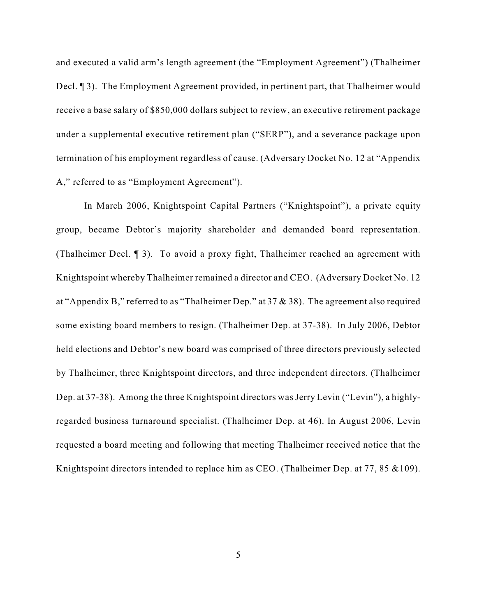and executed a valid arm's length agreement (the "Employment Agreement") (Thalheimer Decl. ¶ 3). The Employment Agreement provided, in pertinent part, that Thalheimer would receive a base salary of \$850,000 dollars subject to review, an executive retirement package under a supplemental executive retirement plan ("SERP"), and a severance package upon termination of his employment regardless of cause. (Adversary Docket No. 12 at "Appendix A," referred to as "Employment Agreement").

In March 2006, Knightspoint Capital Partners ("Knightspoint"), a private equity group, became Debtor's majority shareholder and demanded board representation. (Thalheimer Decl. ¶ 3). To avoid a proxy fight, Thalheimer reached an agreement with Knightspoint whereby Thalheimer remained a director and CEO. (Adversary Docket No. 12 at "Appendix B," referred to as "Thalheimer Dep." at 37  $\&$  38). The agreement also required some existing board members to resign. (Thalheimer Dep. at 37-38). In July 2006, Debtor held elections and Debtor's new board was comprised of three directors previously selected by Thalheimer, three Knightspoint directors, and three independent directors. (Thalheimer Dep. at 37-38). Among the three Knightspoint directors was Jerry Levin ("Levin"), a highlyregarded business turnaround specialist. (Thalheimer Dep. at 46). In August 2006, Levin requested a board meeting and following that meeting Thalheimer received notice that the Knightspoint directors intended to replace him as CEO. (Thalheimer Dep. at 77, 85 & 109).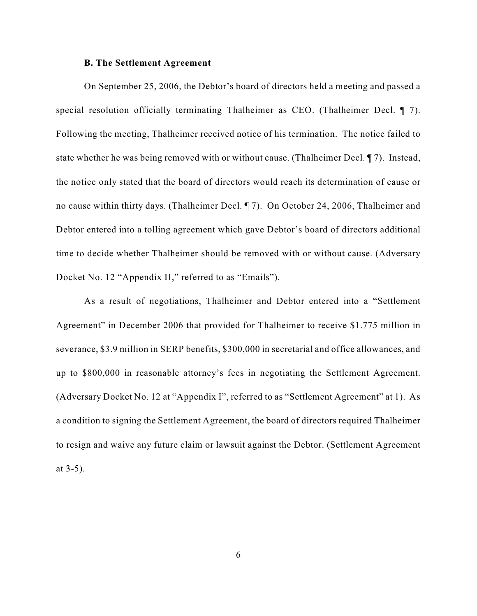#### **B. The Settlement Agreement**

On September 25, 2006, the Debtor's board of directors held a meeting and passed a special resolution officially terminating Thalheimer as CEO. (Thalheimer Decl. ¶ 7). Following the meeting, Thalheimer received notice of his termination. The notice failed to state whether he was being removed with or without cause. (Thalheimer Decl. ¶ 7). Instead, the notice only stated that the board of directors would reach its determination of cause or no cause within thirty days. (Thalheimer Decl. ¶ 7). On October 24, 2006, Thalheimer and Debtor entered into a tolling agreement which gave Debtor's board of directors additional time to decide whether Thalheimer should be removed with or without cause. (Adversary Docket No. 12 "Appendix H," referred to as "Emails").

As a result of negotiations, Thalheimer and Debtor entered into a "Settlement Agreement" in December 2006 that provided for Thalheimer to receive \$1.775 million in severance, \$3.9 million in SERP benefits, \$300,000 in secretarial and office allowances, and up to \$800,000 in reasonable attorney's fees in negotiating the Settlement Agreement. (Adversary Docket No. 12 at "Appendix I", referred to as "Settlement Agreement" at 1). As a condition to signing the Settlement Agreement, the board of directors required Thalheimer to resign and waive any future claim or lawsuit against the Debtor. (Settlement Agreement at 3-5).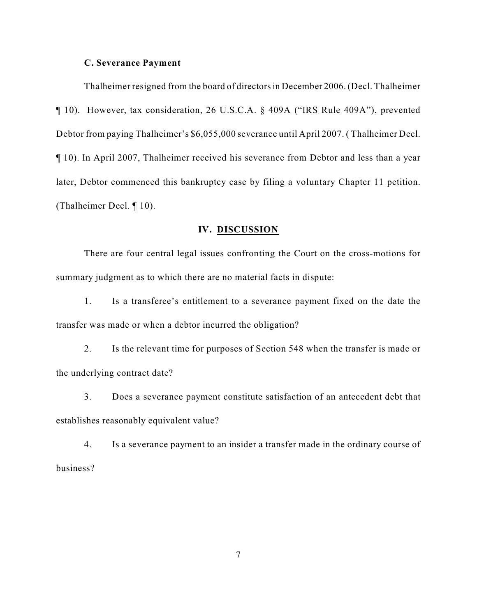#### **C. Severance Payment**

Thalheimer resigned from the board of directors in December 2006. (Decl. Thalheimer ¶ 10). However, tax consideration, 26 U.S.C.A. § 409A ("IRS Rule 409A"), prevented Debtor from paying Thalheimer's \$6,055,000 severance until April 2007. ( Thalheimer Decl. ¶ 10). In April 2007, Thalheimer received his severance from Debtor and less than a year later, Debtor commenced this bankruptcy case by filing a voluntary Chapter 11 petition. (Thalheimer Decl. ¶ 10).

#### **IV. DISCUSSION**

There are four central legal issues confronting the Court on the cross-motions for summary judgment as to which there are no material facts in dispute:

1. Is a transferee's entitlement to a severance payment fixed on the date the transfer was made or when a debtor incurred the obligation?

2. Is the relevant time for purposes of Section 548 when the transfer is made or the underlying contract date?

3. Does a severance payment constitute satisfaction of an antecedent debt that establishes reasonably equivalent value?

4. Is a severance payment to an insider a transfer made in the ordinary course of business?

7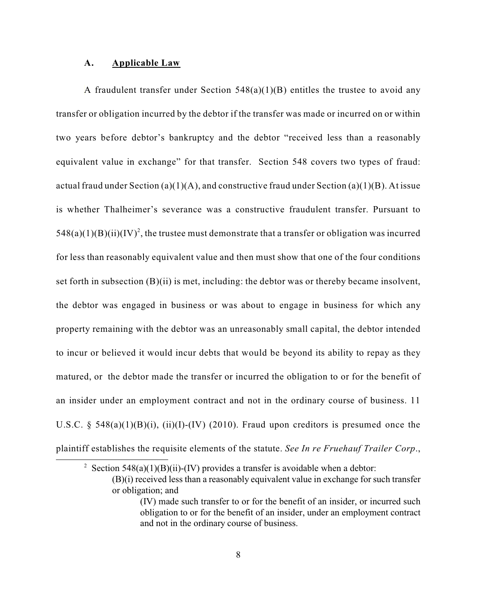#### **A. Applicable Law**

A fraudulent transfer under Section  $548(a)(1)(B)$  entitles the trustee to avoid any transfer or obligation incurred by the debtor if the transfer was made or incurred on or within two years before debtor's bankruptcy and the debtor "received less than a reasonably equivalent value in exchange" for that transfer. Section 548 covers two types of fraud: actual fraud under Section (a)(1)(A), and constructive fraud under Section (a)(1)(B). At issue is whether Thalheimer's severance was a constructive fraudulent transfer. Pursuant to  $548(a)(1)(B)(ii)(IV)<sup>2</sup>$ , the trustee must demonstrate that a transfer or obligation was incurred for less than reasonably equivalent value and then must show that one of the four conditions set forth in subsection  $(B)(ii)$  is met, including: the debtor was or thereby became insolvent, the debtor was engaged in business or was about to engage in business for which any property remaining with the debtor was an unreasonably small capital, the debtor intended to incur or believed it would incur debts that would be beyond its ability to repay as they matured, or the debtor made the transfer or incurred the obligation to or for the benefit of an insider under an employment contract and not in the ordinary course of business. 11 U.S.C. § 548(a)(1)(B)(i), (ii)(I)-(IV) (2010). Fraud upon creditors is presumed once the plaintiff establishes the requisite elements of the statute. *See In re Fruehauf Trailer Corp*.,

<sup>2</sup> Section 548(a)(1)(B)(ii)-(IV) provides a transfer is avoidable when a debtor:

<sup>(</sup>B)(i) received less than a reasonably equivalent value in exchange for such transfer or obligation; and

<sup>(</sup>IV) made such transfer to or for the benefit of an insider, or incurred such obligation to or for the benefit of an insider, under an employment contract and not in the ordinary course of business.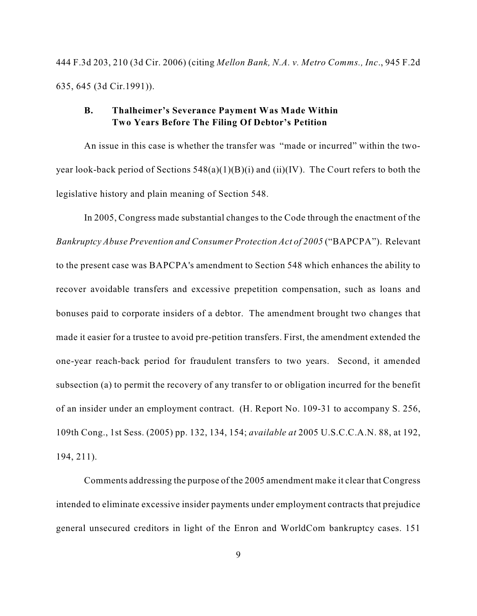444 F.3d 203, 210 (3d Cir. 2006) (citing *Mellon Bank, N.A. v. Metro Comms., Inc*., 945 F.2d 635, 645 (3d Cir.1991)).

## **B. Thalheimer's Severance Payment Was Made Within Two Years Before The Filing Of Debtor's Petition**

An issue in this case is whether the transfer was "made or incurred" within the twoyear look-back period of Sections  $548(a)(1)(B)(i)$  and (ii)(IV). The Court refers to both the legislative history and plain meaning of Section 548.

In 2005, Congress made substantial changes to the Code through the enactment of the *Bankruptcy Abuse Prevention and Consumer Protection Act of 2005* ("BAPCPA"). Relevant to the present case was BAPCPA's amendment to Section 548 which enhances the ability to recover avoidable transfers and excessive prepetition compensation, such as loans and bonuses paid to corporate insiders of a debtor. The amendment brought two changes that made it easier for a trustee to avoid pre-petition transfers. First, the amendment extended the one-year reach-back period for fraudulent transfers to two years. Second, it amended subsection (a) to permit the recovery of any transfer to or obligation incurred for the benefit of an insider under an employment contract. (H. Report No. 109-31 to accompany S. 256, 109th Cong., 1st Sess. (2005) pp. 132, 134, 154; *available at* 2005 U.S.C.C.A.N. 88, at 192, 194, 211).

Comments addressing the purpose of the 2005 amendment make it clear that Congress intended to eliminate excessive insider payments under employment contracts that prejudice general unsecured creditors in light of the Enron and WorldCom bankruptcy cases. 151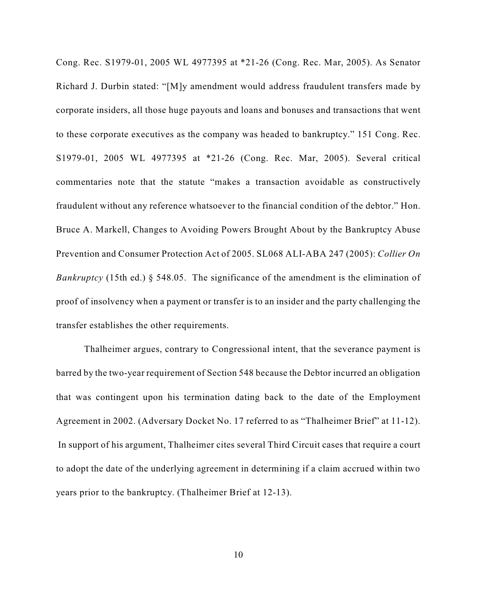Cong. Rec. S1979-01, 2005 WL 4977395 at \*21-26 (Cong. Rec. Mar, 2005). As Senator Richard J. Durbin stated: "[M]y amendment would address fraudulent transfers made by corporate insiders, all those huge payouts and loans and bonuses and transactions that went to these corporate executives as the company was headed to bankruptcy." 151 Cong. Rec. S1979-01, 2005 WL 4977395 at \*21-26 (Cong. Rec. Mar, 2005). Several critical commentaries note that the statute "makes a transaction avoidable as constructively fraudulent without any reference whatsoever to the financial condition of the debtor." Hon. Bruce A. Markell, Changes to Avoiding Powers Brought About by the Bankruptcy Abuse Prevention and Consumer Protection Act of 2005. SL068 ALI-ABA 247 (2005): *Collier On Bankruptcy* (15th ed.) § 548.05. The significance of the amendment is the elimination of proof of insolvency when a payment or transfer is to an insider and the party challenging the transfer establishes the other requirements.

Thalheimer argues, contrary to Congressional intent, that the severance payment is barred by the two-year requirement of Section 548 because the Debtor incurred an obligation that was contingent upon his termination dating back to the date of the Employment Agreement in 2002. (Adversary Docket No. 17 referred to as "Thalheimer Brief" at 11-12). In support of his argument, Thalheimer cites several Third Circuit cases that require a court to adopt the date of the underlying agreement in determining if a claim accrued within two years prior to the bankruptcy. (Thalheimer Brief at 12-13).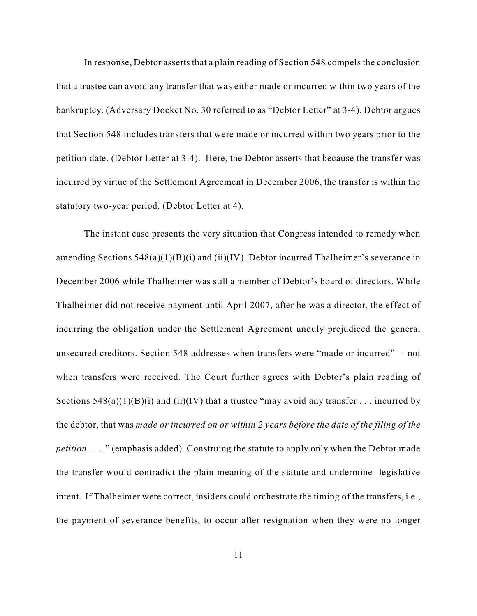In response, Debtor asserts that a plain reading of Section 548 compels the conclusion that a trustee can avoid any transfer that was either made or incurred within two years of the bankruptcy. (Adversary Docket No. 30 referred to as "Debtor Letter" at 3-4). Debtor argues that Section 548 includes transfers that were made or incurred within two years prior to the petition date. (Debtor Letter at 3-4). Here, the Debtor asserts that because the transfer was incurred by virtue of the Settlement Agreement in December 2006, the transfer is within the statutory two-year period. (Debtor Letter at 4).

The instant case presents the very situation that Congress intended to remedy when amending Sections  $548(a)(1)(B)(i)$  and  $(ii)(IV)$ . Debtor incurred Thalheimer's severance in December 2006 while Thalheimer was still a member of Debtor's board of directors. While Thalheimer did not receive payment until April 2007, after he was a director, the effect of incurring the obligation under the Settlement Agreement unduly prejudiced the general unsecured creditors. Section 548 addresses when transfers were "made or incurred"— not when transfers were received. The Court further agrees with Debtor's plain reading of Sections  $548(a)(1)(B)(i)$  and  $(ii)(IV)$  that a trustee "may avoid any transfer . . . incurred by the debtor, that was *made or incurred on or within 2 years before the date of the filing of the petition* . . . ." (emphasis added). Construing the statute to apply only when the Debtor made the transfer would contradict the plain meaning of the statute and undermine legislative intent. If Thalheimer were correct, insiders could orchestrate the timing of the transfers, i.e., the payment of severance benefits, to occur after resignation when they were no longer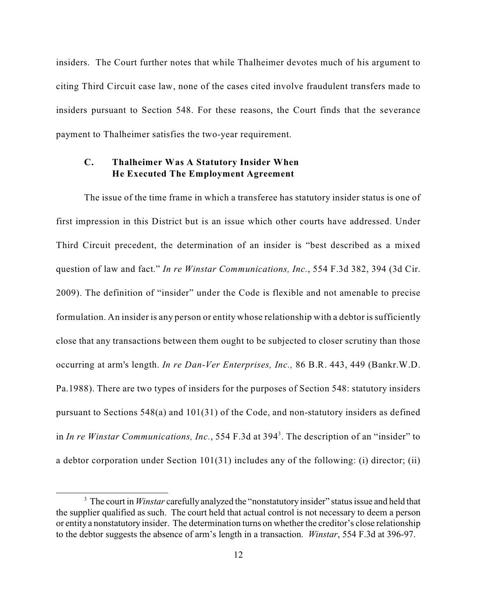insiders. The Court further notes that while Thalheimer devotes much of his argument to citing Third Circuit case law, none of the cases cited involve fraudulent transfers made to insiders pursuant to Section 548. For these reasons, the Court finds that the severance payment to Thalheimer satisfies the two-year requirement.

## **C. Thalheimer Was A Statutory Insider When He Executed The Employment Agreement**

The issue of the time frame in which a transferee has statutory insider status is one of first impression in this District but is an issue which other courts have addressed. Under Third Circuit precedent, the determination of an insider is "best described as a mixed question of law and fact." *In re Winstar Communications, Inc.*, 554 F.3d 382, 394 (3d Cir. 2009). The definition of "insider" under the Code is flexible and not amenable to precise formulation. An insider is any person or entity whose relationship with a debtor is sufficiently close that any transactions between them ought to be subjected to closer scrutiny than those occurring at arm's length. *In re Dan-Ver Enterprises, Inc.,* 86 B.R. 443, 449 (Bankr.W.D. Pa.1988). There are two types of insiders for the purposes of Section 548: statutory insiders pursuant to Sections  $548(a)$  and  $101(31)$  of the Code, and non-statutory insiders as defined in *In re Winstar Communications, Inc.*, 554 F.3d at 394<sup>3</sup>. The description of an "insider" to a debtor corporation under Section 101(31) includes any of the following: (i) director; (ii)

<sup>&</sup>lt;sup>3</sup> The court in *Winstar* carefully analyzed the "nonstatutory insider" status issue and held that the supplier qualified as such. The court held that actual control is not necessary to deem a person or entity a nonstatutory insider. The determination turns on whether the creditor's close relationship to the debtor suggests the absence of arm's length in a transaction. *Winstar*, 554 F.3d at 396-97.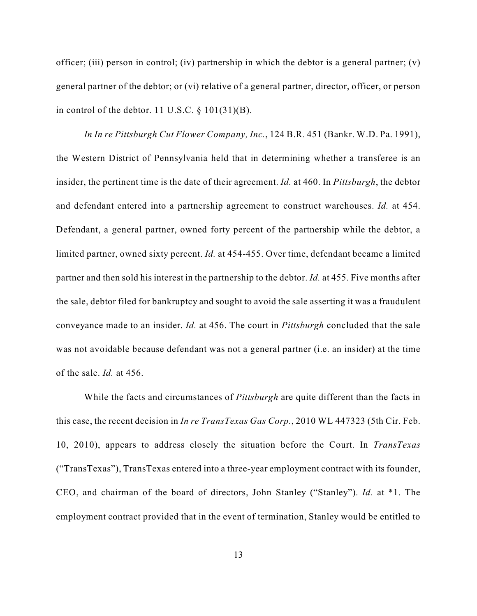officer; (iii) person in control; (iv) partnership in which the debtor is a general partner; (v) general partner of the debtor; or (vi) relative of a general partner, director, officer, or person in control of the debtor. 11 U.S.C.  $\S$  101(31)(B).

*In In re Pittsburgh Cut Flower Company, Inc.*, 124 B.R. 451 (Bankr. W.D. Pa. 1991), the Western District of Pennsylvania held that in determining whether a transferee is an insider, the pertinent time is the date of their agreement. *Id.* at 460. In *Pittsburgh*, the debtor and defendant entered into a partnership agreement to construct warehouses. *Id.* at 454. Defendant, a general partner, owned forty percent of the partnership while the debtor, a limited partner, owned sixty percent. *Id.* at 454-455. Over time, defendant became a limited partner and then sold his interest in the partnership to the debtor. *Id.* at 455. Five months after the sale, debtor filed for bankruptcy and sought to avoid the sale asserting it was a fraudulent conveyance made to an insider. *Id.* at 456. The court in *Pittsburgh* concluded that the sale was not avoidable because defendant was not a general partner (i.e. an insider) at the time of the sale. *Id.* at 456.

While the facts and circumstances of *Pittsburgh* are quite different than the facts in this case, the recent decision in *In re TransTexas Gas Corp.*, 2010 WL 447323 (5th Cir. Feb. 10, 2010), appears to address closely the situation before the Court. In *TransTexas* ("TransTexas"), TransTexas entered into a three-year employment contract with its founder, CEO, and chairman of the board of directors, John Stanley ("Stanley"). *Id.* at \*1. The employment contract provided that in the event of termination, Stanley would be entitled to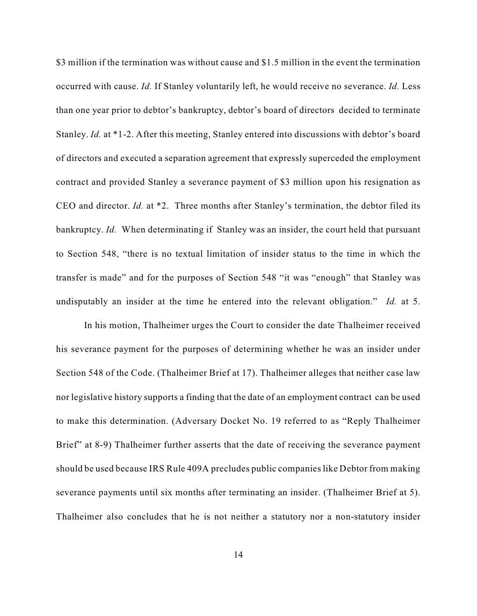\$3 million if the termination was without cause and \$1.5 million in the event the termination occurred with cause. *Id.* If Stanley voluntarily left, he would receive no severance. *Id.* Less than one year prior to debtor's bankruptcy, debtor's board of directors decided to terminate Stanley. *Id.* at \*1-2. After this meeting, Stanley entered into discussions with debtor's board of directors and executed a separation agreement that expressly superceded the employment contract and provided Stanley a severance payment of \$3 million upon his resignation as CEO and director. *Id.* at \*2. Three months after Stanley's termination, the debtor filed its bankruptcy. *Id.* When determinating if Stanley was an insider, the court held that pursuant to Section 548, "there is no textual limitation of insider status to the time in which the transfer is made" and for the purposes of Section 548 "it was "enough" that Stanley was undisputably an insider at the time he entered into the relevant obligation." *Id.* at 5.

In his motion, Thalheimer urges the Court to consider the date Thalheimer received his severance payment for the purposes of determining whether he was an insider under Section 548 of the Code. (Thalheimer Brief at 17). Thalheimer alleges that neither case law nor legislative history supports a finding that the date of an employment contract can be used to make this determination. (Adversary Docket No. 19 referred to as "Reply Thalheimer Brief" at 8-9) Thalheimer further asserts that the date of receiving the severance payment should be used because IRS Rule 409A precludes public companies like Debtor from making severance payments until six months after terminating an insider. (Thalheimer Brief at 5). Thalheimer also concludes that he is not neither a statutory nor a non-statutory insider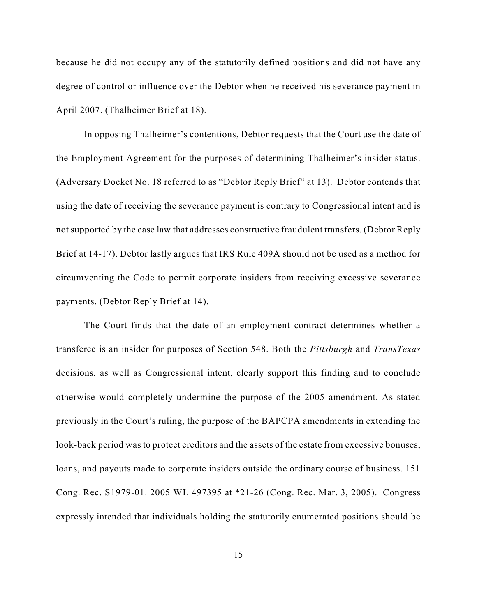because he did not occupy any of the statutorily defined positions and did not have any degree of control or influence over the Debtor when he received his severance payment in April 2007. (Thalheimer Brief at 18).

In opposing Thalheimer's contentions, Debtor requests that the Court use the date of the Employment Agreement for the purposes of determining Thalheimer's insider status. (Adversary Docket No. 18 referred to as "Debtor Reply Brief" at 13). Debtor contends that using the date of receiving the severance payment is contrary to Congressional intent and is not supported by the case law that addresses constructive fraudulent transfers. (Debtor Reply Brief at 14-17). Debtor lastly argues that IRS Rule 409A should not be used as a method for circumventing the Code to permit corporate insiders from receiving excessive severance payments. (Debtor Reply Brief at 14).

The Court finds that the date of an employment contract determines whether a transferee is an insider for purposes of Section 548. Both the *Pittsburgh* and *TransTexas* decisions, as well as Congressional intent, clearly support this finding and to conclude otherwise would completely undermine the purpose of the 2005 amendment. As stated previously in the Court's ruling, the purpose of the BAPCPA amendments in extending the look-back period was to protect creditors and the assets of the estate from excessive bonuses, loans, and payouts made to corporate insiders outside the ordinary course of business. 151 Cong. Rec. S1979-01. 2005 WL 497395 at \*21-26 (Cong. Rec. Mar. 3, 2005). Congress expressly intended that individuals holding the statutorily enumerated positions should be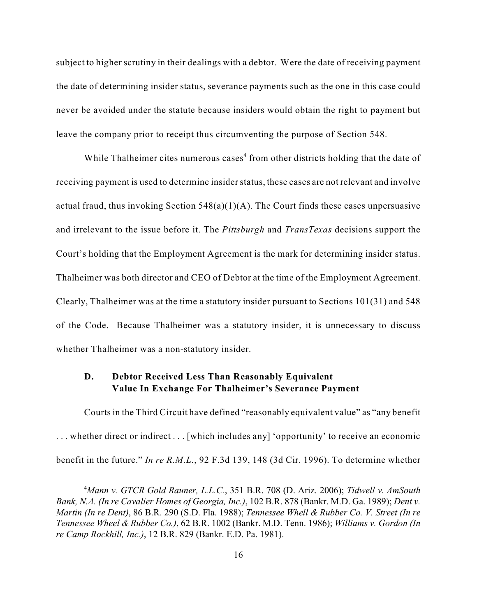subject to higher scrutiny in their dealings with a debtor. Were the date of receiving payment the date of determining insider status, severance payments such as the one in this case could never be avoided under the statute because insiders would obtain the right to payment but leave the company prior to receipt thus circumventing the purpose of Section 548.

While Thalheimer cites numerous cases<sup>4</sup> from other districts holding that the date of receiving payment is used to determine insider status, these cases are not relevant and involve actual fraud, thus invoking Section  $548(a)(1)(A)$ . The Court finds these cases unpersuasive and irrelevant to the issue before it. The *Pittsburgh* and *TransTexas* decisions support the Court's holding that the Employment Agreement is the mark for determining insider status. Thalheimer was both director and CEO of Debtor at the time of the Employment Agreement. Clearly, Thalheimer was at the time a statutory insider pursuant to Sections 101(31) and 548 of the Code. Because Thalheimer was a statutory insider, it is unnecessary to discuss whether Thalheimer was a non-statutory insider.

# **D. Debtor Received Less Than Reasonably Equivalent Value In Exchange For Thalheimer's Severance Payment**

Courts in the Third Circuit have defined "reasonably equivalent value" as "any benefit . . . whether direct or indirect . . . [which includes any] 'opportunity' to receive an economic benefit in the future." *In re R.M.L.*, 92 F.3d 139, 148 (3d Cir. 1996). To determine whether

*Mann v. GTCR Gold Rauner, L.L.C.*, 351 B.R. 708 (D. Ariz. 2006); *Tidwell v. AmSouth* <sup>4</sup> *Bank, N.A. (In re Cavalier Homes of Georgia, Inc.)*, 102 B.R. 878 (Bankr. M.D. Ga. 1989); *Dent v. Martin (In re Dent)*, 86 B.R. 290 (S.D. Fla. 1988); *Tennessee Whell & Rubber Co. V. Street (In re Tennessee Wheel & Rubber Co.)*, 62 B.R. 1002 (Bankr. M.D. Tenn. 1986); *Williams v. Gordon (In re Camp Rockhill, Inc.)*, 12 B.R. 829 (Bankr. E.D. Pa. 1981).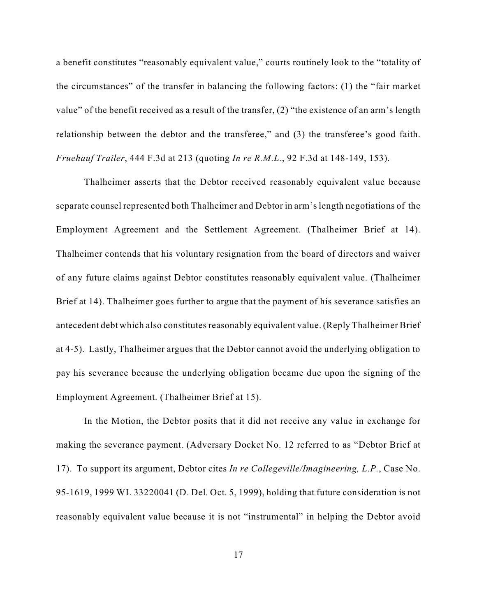a benefit constitutes "reasonably equivalent value," courts routinely look to the "totality of the circumstances" of the transfer in balancing the following factors: (1) the "fair market value" of the benefit received as a result of the transfer, (2) "the existence of an arm's length relationship between the debtor and the transferee," and (3) the transferee's good faith. *Fruehauf Trailer*, 444 F.3d at 213 (quoting *In re R.M.L.*, 92 F.3d at 148-149, 153).

Thalheimer asserts that the Debtor received reasonably equivalent value because separate counsel represented both Thalheimer and Debtor in arm's length negotiations of the Employment Agreement and the Settlement Agreement. (Thalheimer Brief at 14). Thalheimer contends that his voluntary resignation from the board of directors and waiver of any future claims against Debtor constitutes reasonably equivalent value. (Thalheimer Brief at 14). Thalheimer goes further to argue that the payment of his severance satisfies an antecedent debt which also constitutes reasonably equivalent value. (Reply Thalheimer Brief at 4-5). Lastly, Thalheimer argues that the Debtor cannot avoid the underlying obligation to pay his severance because the underlying obligation became due upon the signing of the Employment Agreement. (Thalheimer Brief at 15).

In the Motion, the Debtor posits that it did not receive any value in exchange for making the severance payment. (Adversary Docket No. 12 referred to as "Debtor Brief at 17). To support its argument, Debtor cites *In re Collegeville/Imagineering, L.P.*, Case No. 95-1619, 1999 WL 33220041 (D. Del. Oct. 5, 1999), holding that future consideration is not reasonably equivalent value because it is not "instrumental" in helping the Debtor avoid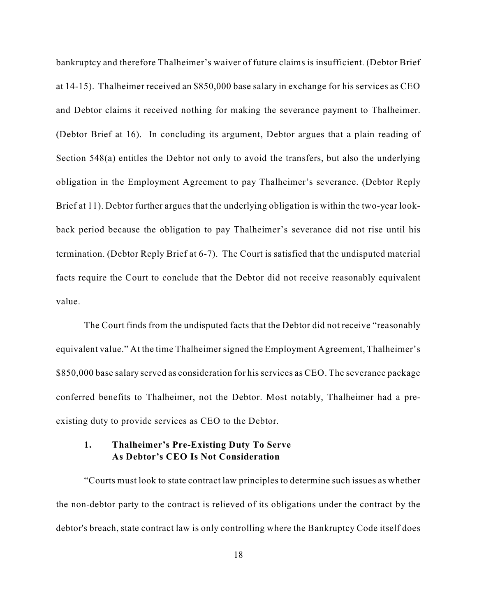bankruptcy and therefore Thalheimer's waiver of future claims is insufficient. (Debtor Brief at 14-15). Thalheimer received an \$850,000 base salary in exchange for his services as CEO and Debtor claims it received nothing for making the severance payment to Thalheimer. (Debtor Brief at 16). In concluding its argument, Debtor argues that a plain reading of Section 548(a) entitles the Debtor not only to avoid the transfers, but also the underlying obligation in the Employment Agreement to pay Thalheimer's severance. (Debtor Reply Brief at 11). Debtor further argues that the underlying obligation is within the two-year lookback period because the obligation to pay Thalheimer's severance did not rise until his termination. (Debtor Reply Brief at 6-7). The Court is satisfied that the undisputed material facts require the Court to conclude that the Debtor did not receive reasonably equivalent value.

The Court finds from the undisputed facts that the Debtor did not receive "reasonably equivalent value." At the time Thalheimer signed the Employment Agreement, Thalheimer's \$850,000 base salary served as consideration for hisservices as CEO. The severance package conferred benefits to Thalheimer, not the Debtor. Most notably, Thalheimer had a preexisting duty to provide services as CEO to the Debtor.

## **1. Thalheimer's Pre-Existing Duty To Serve As Debtor's CEO Is Not Consideration**

"Courts must look to state contract law principles to determine such issues as whether the non-debtor party to the contract is relieved of its obligations under the contract by the debtor's breach, state contract law is only controlling where the Bankruptcy Code itself does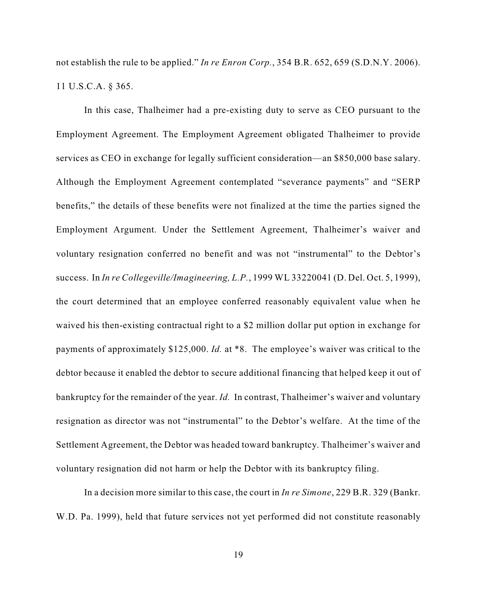not establish the rule to be applied." *In re Enron Corp.*, 354 B.R. 652, 659 (S.D.N.Y. 2006). 11 U.S.C.A. § 365.

In this case, Thalheimer had a pre-existing duty to serve as CEO pursuant to the Employment Agreement. The Employment Agreement obligated Thalheimer to provide services as CEO in exchange for legally sufficient consideration—an \$850,000 base salary. Although the Employment Agreement contemplated "severance payments" and "SERP benefits," the details of these benefits were not finalized at the time the parties signed the Employment Argument. Under the Settlement Agreement, Thalheimer's waiver and voluntary resignation conferred no benefit and was not "instrumental" to the Debtor's success. In *In re Collegeville/Imagineering, L.P.*, 1999 WL 33220041 (D. Del. Oct. 5, 1999), the court determined that an employee conferred reasonably equivalent value when he waived his then-existing contractual right to a \$2 million dollar put option in exchange for payments of approximately \$125,000. *Id.* at \*8. The employee's waiver was critical to the debtor because it enabled the debtor to secure additional financing that helped keep it out of bankruptcy for the remainder of the year. *Id.* In contrast, Thalheimer's waiver and voluntary resignation as director was not "instrumental" to the Debtor's welfare. At the time of the Settlement Agreement, the Debtor was headed toward bankruptcy. Thalheimer's waiver and voluntary resignation did not harm or help the Debtor with its bankruptcy filing.

In a decision more similar to this case, the court in *In re Simone*, 229 B.R. 329 (Bankr. W.D. Pa. 1999), held that future services not yet performed did not constitute reasonably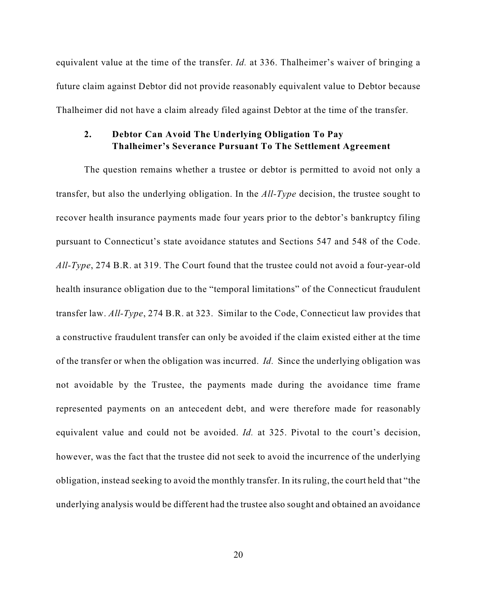equivalent value at the time of the transfer. *Id.* at 336. Thalheimer's waiver of bringing a future claim against Debtor did not provide reasonably equivalent value to Debtor because Thalheimer did not have a claim already filed against Debtor at the time of the transfer.

## **2. Debtor Can Avoid The Underlying Obligation To Pay Thalheimer's Severance Pursuant To The Settlement Agreement**

The question remains whether a trustee or debtor is permitted to avoid not only a transfer, but also the underlying obligation. In the *All-Type* decision, the trustee sought to recover health insurance payments made four years prior to the debtor's bankruptcy filing pursuant to Connecticut's state avoidance statutes and Sections 547 and 548 of the Code. *All-Type*, 274 B.R. at 319. The Court found that the trustee could not avoid a four-year-old health insurance obligation due to the "temporal limitations" of the Connecticut fraudulent transfer law. *All-Type*, 274 B.R. at 323. Similar to the Code, Connecticut law provides that a constructive fraudulent transfer can only be avoided if the claim existed either at the time of the transfer or when the obligation was incurred. *Id.* Since the underlying obligation was not avoidable by the Trustee, the payments made during the avoidance time frame represented payments on an antecedent debt, and were therefore made for reasonably equivalent value and could not be avoided. *Id.* at 325. Pivotal to the court's decision, however, was the fact that the trustee did not seek to avoid the incurrence of the underlying obligation, instead seeking to avoid the monthly transfer. In its ruling, the court held that "the underlying analysis would be different had the trustee also sought and obtained an avoidance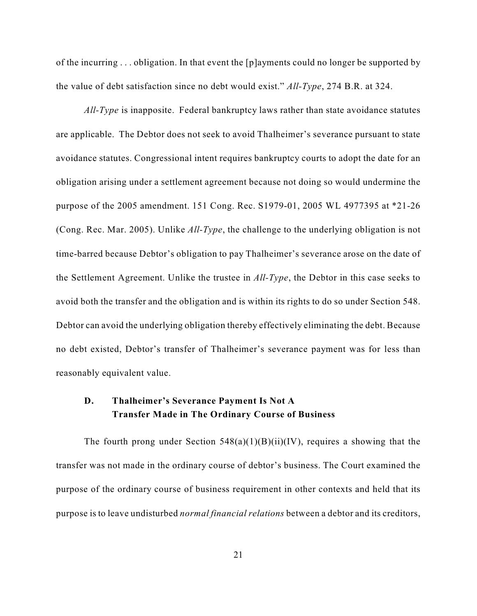of the incurring . . . obligation. In that event the [p]ayments could no longer be supported by the value of debt satisfaction since no debt would exist." *All-Type*, 274 B.R. at 324.

*All-Type* is inapposite. Federal bankruptcy laws rather than state avoidance statutes are applicable. The Debtor does not seek to avoid Thalheimer's severance pursuant to state avoidance statutes. Congressional intent requires bankruptcy courts to adopt the date for an obligation arising under a settlement agreement because not doing so would undermine the purpose of the 2005 amendment. 151 Cong. Rec. S1979-01, 2005 WL 4977395 at \*21-26 (Cong. Rec. Mar. 2005). Unlike *All-Type*, the challenge to the underlying obligation is not time-barred because Debtor's obligation to pay Thalheimer's severance arose on the date of the Settlement Agreement. Unlike the trustee in *All-Type*, the Debtor in this case seeks to avoid both the transfer and the obligation and is within its rights to do so under Section 548. Debtor can avoid the underlying obligation thereby effectively eliminating the debt. Because no debt existed, Debtor's transfer of Thalheimer's severance payment was for less than reasonably equivalent value.

# **D. Thalheimer's Severance Payment Is Not A Transfer Made in The Ordinary Course of Business**

The fourth prong under Section  $548(a)(1)(B)(ii)(IV)$ , requires a showing that the transfer was not made in the ordinary course of debtor's business. The Court examined the purpose of the ordinary course of business requirement in other contexts and held that its purpose is to leave undisturbed *normal financial relations* between a debtor and its creditors,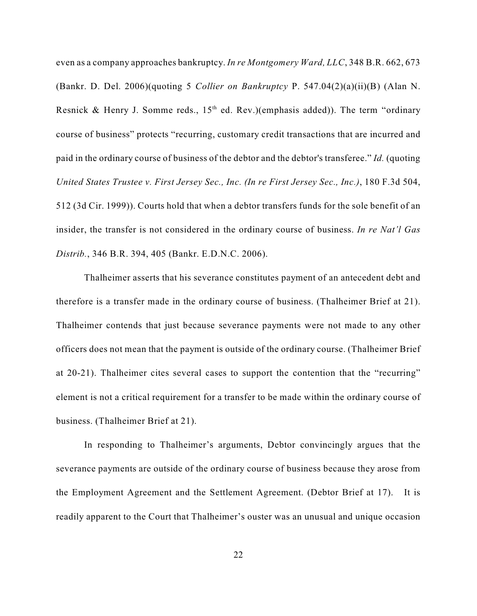even as a company approaches bankruptcy. *In re Montgomery Ward, LLC*, 348 B.R. 662, 673 (Bankr. D. Del. 2006)(quoting 5 *Collier on Bankruptcy* P. 547.04(2)(a)(ii)(B) (Alan N. Resnick & Henry J. Somme reds.,  $15<sup>th</sup>$  ed. Rev.)(emphasis added)). The term "ordinary course of business" protects "recurring, customary credit transactions that are incurred and paid in the ordinary course of business of the debtor and the debtor's transferee." *Id.* (quoting *United States Trustee v. First Jersey Sec., Inc. (In re First Jersey Sec., Inc.)*, 180 F.3d 504, 512 (3d Cir. 1999)). Courts hold that when a debtor transfers funds for the sole benefit of an insider, the transfer is not considered in the ordinary course of business. *In re Nat'l Gas Distrib.*, 346 B.R. 394, 405 (Bankr. E.D.N.C. 2006).

Thalheimer asserts that his severance constitutes payment of an antecedent debt and therefore is a transfer made in the ordinary course of business. (Thalheimer Brief at 21). Thalheimer contends that just because severance payments were not made to any other officers does not mean that the payment is outside of the ordinary course. (Thalheimer Brief at 20-21). Thalheimer cites several cases to support the contention that the "recurring" element is not a critical requirement for a transfer to be made within the ordinary course of business. (Thalheimer Brief at 21).

In responding to Thalheimer's arguments, Debtor convincingly argues that the severance payments are outside of the ordinary course of business because they arose from the Employment Agreement and the Settlement Agreement. (Debtor Brief at 17). It is readily apparent to the Court that Thalheimer's ouster was an unusual and unique occasion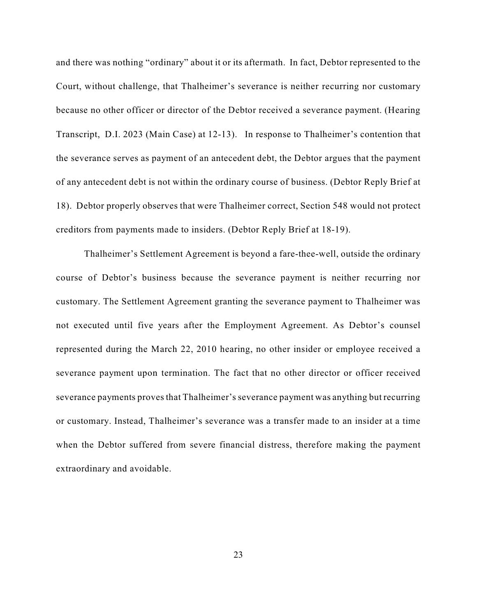and there was nothing "ordinary" about it or its aftermath. In fact, Debtor represented to the Court, without challenge, that Thalheimer's severance is neither recurring nor customary because no other officer or director of the Debtor received a severance payment. (Hearing Transcript, D.I. 2023 (Main Case) at 12-13). In response to Thalheimer's contention that the severance serves as payment of an antecedent debt, the Debtor argues that the payment of any antecedent debt is not within the ordinary course of business. (Debtor Reply Brief at 18). Debtor properly observes that were Thalheimer correct, Section 548 would not protect creditors from payments made to insiders. (Debtor Reply Brief at 18-19).

Thalheimer's Settlement Agreement is beyond a fare-thee-well, outside the ordinary course of Debtor's business because the severance payment is neither recurring nor customary. The Settlement Agreement granting the severance payment to Thalheimer was not executed until five years after the Employment Agreement. As Debtor's counsel represented during the March 22, 2010 hearing, no other insider or employee received a severance payment upon termination. The fact that no other director or officer received severance payments proves that Thalheimer's severance payment was anything but recurring or customary. Instead, Thalheimer's severance was a transfer made to an insider at a time when the Debtor suffered from severe financial distress, therefore making the payment extraordinary and avoidable.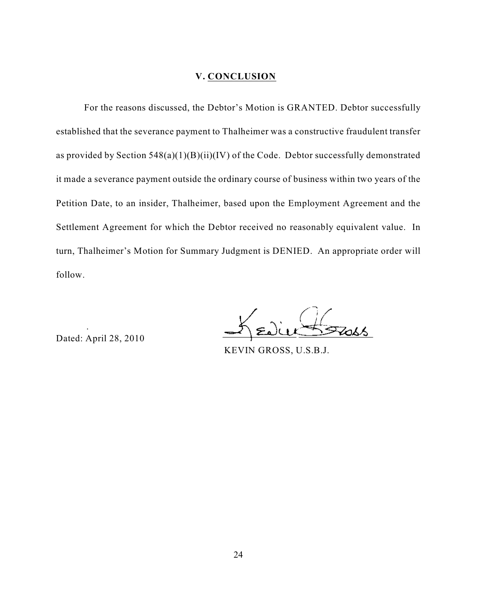#### **V. CONCLUSION**

For the reasons discussed, the Debtor's Motion is GRANTED. Debtor successfully established that the severance payment to Thalheimer was a constructive fraudulent transfer as provided by Section  $548(a)(1)(B)(ii)(IV)$  of the Code. Debtor successfully demonstrated it made a severance payment outside the ordinary course of business within two years of the Petition Date, to an insider, Thalheimer, based upon the Employment Agreement and the Settlement Agreement for which the Debtor received no reasonably equivalent value. In turn, Thalheimer's Motion for Summary Judgment is DENIED. An appropriate order will follow.

Dated: April 28, 2010

.

KEVIN GROSS, U.S.B.J.